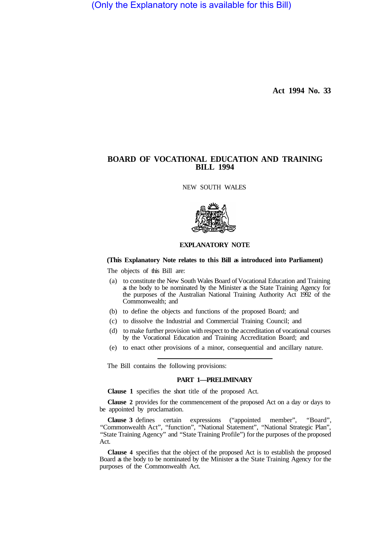(Only the Explanatory note is available for this Bill)

**Act 1994 No. 33** 

# **BOARD OF VOCATIONAL EDUCATION AND TRAINING BILL 1994**

NEW SOUTH WALES



## **EXPLANATORY NOTE**

### **(This Explanatory Note relates to this Bill as introduced into Parliament)**

The objects of this Bill are:

- (a) to constitute the New South Wales Board of Vocational Education and Training as the body to be nominated by the Minister as the State Training Agency for the purposes of the Australian National Training Authority Act 1992 of the Commonwealth; and
- (b) to define the objects and functions of the proposed Board; and
- (c) to dissolve the Industrial and Commercial Training Council; and
- (d) to make further provision with respect to the accreditation of vocational courses by the Vocational Education and Training Accreditation Board; and
- (e) to enact other provisions of a minor, consequential and ancillary nature.

The Bill contains the following provisions:

### **PART 1—PRELIMINARY**

**Clause 1** specifies the short title of the proposed Act.

**Clause 2** provides for the commencement of the proposed Act on a day or days to be appointed by proclamation.

**Clause 3** defines certain expressions ("appointed member", "Board", "Commonwealth Act", "function", "National Statement", "National Strategic Plan", "State Training Agency" and "State Training Profile") for the purposes of the proposed Act.

**Clause 4** specifies that the object of the proposed Act is to establish the proposed Board as the body to be nominated by the Minister as the State Training Agency for the purposes of the Commonwealth Act.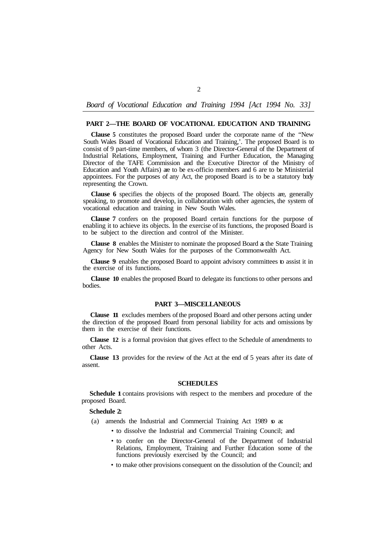*Board of Vocational Education and Training 1994 [Act 1994 No. 33]* 

#### **PART 2—THE BOARD OF VOCATIONAL EDUCATION AND TRAINING**

**Clause 5** constitutes the proposed Board under the corporate name of the "New South Wales Board of Vocational Education and Training,'. The proposed Board is to consist of 9 part-time members, of whom 3 (the Director-General of the Department of Industrial Relations, Employment, Training and Further Education, the Managing Director of the TAFE Commission and the Executive Director of the Ministry of Education and Youth Affairs) are to be ex-officio members and 6 are to be Ministerial appointees. For the purposes of any Act, the proposed Board is to be a statutory body representing the Crown.

**Clause 6** specifies the objects of the proposed Board. The objects are, generally speaking, to promote and develop, in collaboration with other agencies, the system of vocational education and training in New South Wales.

**Clause 7** confers on the proposed Board certain functions for the purpose of enabling it to achieve its objects. In the exercise of its functions, the proposed Board is to be subject to the direction and control of the Minister.

**Clause 8** enables the Minister to nominate the proposed Board as the State Training Agency for New South Wales for the purposes of the Commonwealth Act.

**Clause 9** enables the proposed Board to appoint advisory committees to assist it in the exercise of its functions.

**Clause 10** enables the proposed Board to delegate its functions to other persons and bodies.

### **PART 3—MISCELLANEOUS**

**Clause 11** excludes members of the proposed Board and other persons acting under the direction of the proposed Board from personal liability for acts and omissions by them in the exercise of their functions.

**Clause 12** is a formal provision that gives effect to the Schedule of amendments to other Acts.

**Clause 13** provides for the review of the Act at the end of 5 years after its date of assent.

### **SCHEDULES**

**Schedule 1** contains provisions with respect to the members and procedure of the proposed Board.

#### **Schedule 2:**

- (a) amends the Industrial and Commercial Training Act 1989  $\sigma$  as:
	- to dissolve the Industrial and Commercial Training Council; and
	- to confer on the Director-General of the Department of Industrial Relations, Employment, Training and Further Education some of the functions previously exercised by the Council; and
	- to make other provisions consequent on the dissolution of the Council; and